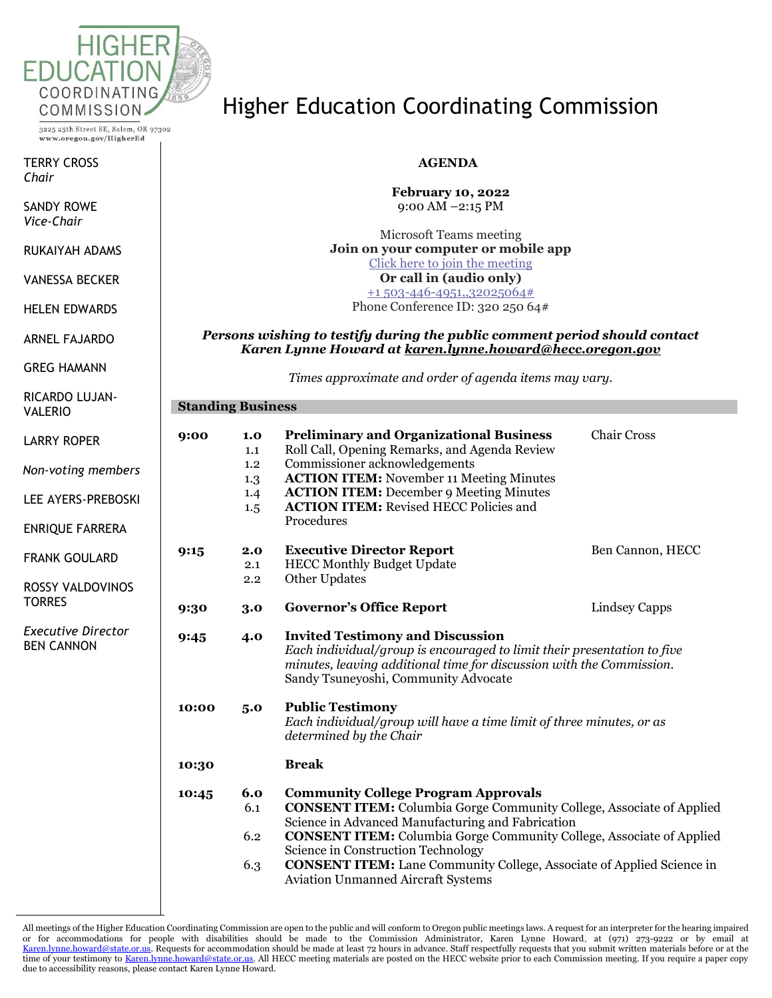

3225 25th Street SE, Salem, OR 97302 www.oregon.gov/HigherEd

TERRY CROSS *Chair*

SANDY ROWE *Vice-Chair*

RUKAIYAH ADAMS

VANESSA BECKER

HELEN EDWARDS

ARNEL FAJARDO

GREG HAMANN

RICARDO LUJAN-VALERIO

LARRY ROPER

*Non-voting members*

LEE AYERS-PREBOSKI

ENRIQUE FARRERA

FRANK GOULARD

ROSSY VALDOVINOS **TORRES** 

*Executive Director* BEN CANNON

## Higher Education Coordinating Commission

### **AGENDA**

**February 10, 2022** 9:00 AM –2:15 PM

Microsoft Teams meeting **Join on your computer or mobile app** [Click here to join the meeting](https://teams.microsoft.com/l/meetup-join/19%3ameeting_NzIzYTI1OWYtODdiOS00NjJmLWJjMjktY2VmODkzMzhiNGQ4%40thread.v2/0?context=%7b%22Tid%22%3a%22aa3f6932-fa7c-47b4-a0ce-a598cad161cf%22%2c%22Oid%22%3a%22e27751c5-b346-4737-8018-c8527a67292f%22%7d) **Or call in (audio only)** [+1 503-446-4951,,32025064#](tel:+15034464951,,32025064# ) Phone Conference ID: 320 250 64#

#### *Persons wishing to testify during the public comment period should contact Karen Lynne Howard at [karen.lynne.howard@hecc.oregon.gov](mailto:karen.lynne.howard@hecc.oregon.gov)*

*Times approximate and order of agenda items may vary.*

| <b>Standing Business</b> |                                        |                                                                                                                                                                                                                                                                                                      |                    |  |  |
|--------------------------|----------------------------------------|------------------------------------------------------------------------------------------------------------------------------------------------------------------------------------------------------------------------------------------------------------------------------------------------------|--------------------|--|--|
| 9:00                     | 1.0<br>1.1<br>1.2<br>1.3<br>1.4<br>1.5 | <b>Preliminary and Organizational Business</b><br>Roll Call, Opening Remarks, and Agenda Review<br>Commissioner acknowledgements<br><b>ACTION ITEM:</b> November 11 Meeting Minutes<br><b>ACTION ITEM:</b> December 9 Meeting Minutes<br><b>ACTION ITEM:</b> Revised HECC Policies and<br>Procedures | <b>Chair Cross</b> |  |  |
| 9:15                     | 2.0<br>2.1<br>2.2                      | <b>Executive Director Report</b><br><b>HECC Monthly Budget Update</b><br>Other Updates                                                                                                                                                                                                               | Ben Cannon, HECC   |  |  |
| 9:30                     | 3.0                                    | <b>Governor's Office Report</b>                                                                                                                                                                                                                                                                      | Lindsey Capps      |  |  |
| 9:45                     | 4.0                                    | <b>Invited Testimony and Discussion</b><br>Each individual/group is encouraged to limit their presentation to five<br>minutes, leaving additional time for discussion with the Commission.<br>Sandy Tsuneyoshi, Community Advocate                                                                   |                    |  |  |
| 10:00                    | 5.0                                    | <b>Public Testimony</b><br>Each individual/group will have a time limit of three minutes, or as<br>determined by the Chair                                                                                                                                                                           |                    |  |  |
| 10:30                    |                                        | <b>Break</b>                                                                                                                                                                                                                                                                                         |                    |  |  |
| 10:45                    | 6.0<br>6.1                             | <b>Community College Program Approvals</b><br><b>CONSENT ITEM:</b> Columbia Gorge Community College, Associate of Applied<br>Science in Advanced Manufacturing and Fabrication                                                                                                                       |                    |  |  |
|                          | 6.2                                    | <b>CONSENT ITEM:</b> Columbia Gorge Community College, Associate of Applied<br>Science in Construction Technology                                                                                                                                                                                    |                    |  |  |
|                          | 6.3                                    | <b>CONSENT ITEM:</b> Lane Community College, Associate of Applied Science in<br><b>Aviation Unmanned Aircraft Systems</b>                                                                                                                                                                            |                    |  |  |

All meetings of the Higher Education Coordinating Commission are open to the public and will conform to Oregon public meetings laws. A request for an interpreter for the hearing impaired or for accommodations for people with disabilities should be made to the Commission Administrator, Karen Lynne Howard, at (971) 273-9222 or by email at [Karen.lynne.howard@state.or.us.](mailto:Karen.lynne.howard@state.or.us) Requests for accommodation should be made at least 72 hours in advance. Staff respectfully requests that you submit written materials before or at the time of your testimony t[o Karen.lynne.howard@state.or.us.](mailto:Karen.lynne.howard@state.or.us) All HECC meeting materials are posted on the HECC website prior to each Commission meeting. If you require a paper copy due to accessibility reasons, please contact Karen Lynne Howard.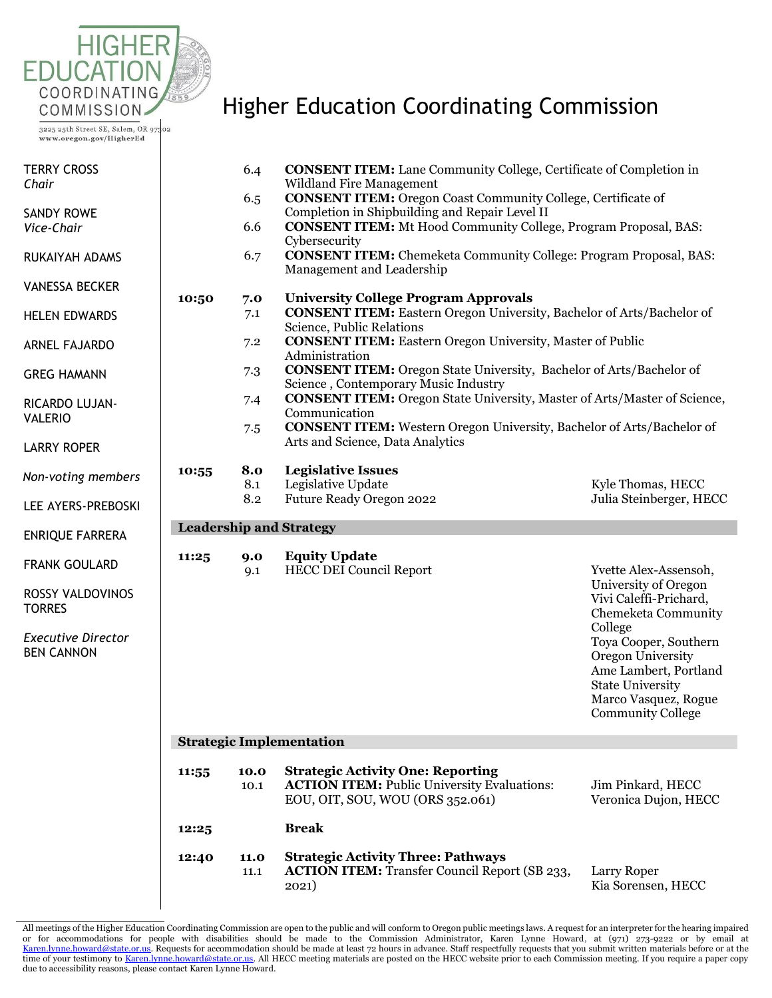

3225 25th Street SE, Salem, OR 97302 www.oregon.gov/HigherEd

### Higher Education Coordinating Commission

| <b>TERRY CROSS</b>                       |       | 6.4                             | <b>CONSENT ITEM:</b> Lane Community College, Certificate of Completion in                                                          |                                                                       |  |  |  |  |
|------------------------------------------|-------|---------------------------------|------------------------------------------------------------------------------------------------------------------------------------|-----------------------------------------------------------------------|--|--|--|--|
| Chair                                    |       | 6.5                             | Wildland Fire Management<br><b>CONSENT ITEM:</b> Oregon Coast Community College, Certificate of                                    |                                                                       |  |  |  |  |
| <b>SANDY ROWE</b>                        |       |                                 | Completion in Shipbuilding and Repair Level II                                                                                     |                                                                       |  |  |  |  |
| Vice-Chair                               |       | 6.6                             | <b>CONSENT ITEM:</b> Mt Hood Community College, Program Proposal, BAS:<br>Cybersecurity                                            |                                                                       |  |  |  |  |
| RUKAIYAH ADAMS                           |       | 6.7                             | <b>CONSENT ITEM:</b> Chemeketa Community College: Program Proposal, BAS:<br>Management and Leadership                              |                                                                       |  |  |  |  |
| <b>VANESSA BECKER</b>                    | 10:50 | 7.0                             | <b>University College Program Approvals</b>                                                                                        |                                                                       |  |  |  |  |
| <b>HELEN EDWARDS</b>                     |       | 7.1                             | <b>CONSENT ITEM:</b> Eastern Oregon University, Bachelor of Arts/Bachelor of<br>Science, Public Relations                          |                                                                       |  |  |  |  |
| <b>ARNEL FAJARDO</b>                     |       | 7.2                             | <b>CONSENT ITEM:</b> Eastern Oregon University, Master of Public<br>Administration                                                 |                                                                       |  |  |  |  |
| <b>GREG HAMANN</b>                       |       | 7.3                             | <b>CONSENT ITEM:</b> Oregon State University, Bachelor of Arts/Bachelor of<br>Science, Contemporary Music Industry                 |                                                                       |  |  |  |  |
| RICARDO LUJAN-<br><b>VALERIO</b>         |       | 7.4                             | <b>CONSENT ITEM:</b> Oregon State University, Master of Arts/Master of Science,<br>Communication                                   |                                                                       |  |  |  |  |
|                                          |       | 7.5                             | <b>CONSENT ITEM:</b> Western Oregon University, Bachelor of Arts/Bachelor of                                                       |                                                                       |  |  |  |  |
| <b>LARRY ROPER</b>                       |       |                                 | Arts and Science, Data Analytics                                                                                                   |                                                                       |  |  |  |  |
| Non-voting members                       | 10:55 | 8.0                             | <b>Legislative Issues</b>                                                                                                          |                                                                       |  |  |  |  |
|                                          |       | 8.1                             | Legislative Update                                                                                                                 | Kyle Thomas, HECC                                                     |  |  |  |  |
| LEE AYERS-PREBOSKI                       |       | 8.2                             | Future Ready Oregon 2022                                                                                                           | Julia Steinberger, HECC                                               |  |  |  |  |
| <b>ENRIQUE FARRERA</b>                   |       |                                 | <b>Leadership and Strategy</b>                                                                                                     |                                                                       |  |  |  |  |
| <b>FRANK GOULARD</b>                     | 11:25 | 9.0<br>9.1                      | <b>Equity Update</b><br><b>HECC DEI Council Report</b>                                                                             | Yvette Alex-Assensoh,                                                 |  |  |  |  |
| <b>ROSSY VALDOVINOS</b><br><b>TORRES</b> |       |                                 |                                                                                                                                    | University of Oregon<br>Vivi Caleffi-Prichard,<br>Chemeketa Community |  |  |  |  |
| <b>Executive Director</b>                |       |                                 |                                                                                                                                    | College<br>Toya Cooper, Southern                                      |  |  |  |  |
| <b>BEN CANNON</b>                        |       |                                 |                                                                                                                                    | Oregon University<br>Ame Lambert, Portland                            |  |  |  |  |
|                                          |       |                                 |                                                                                                                                    | <b>State University</b>                                               |  |  |  |  |
|                                          |       |                                 |                                                                                                                                    | Marco Vasquez, Rogue<br><b>Community College</b>                      |  |  |  |  |
|                                          |       | <b>Strategic Implementation</b> |                                                                                                                                    |                                                                       |  |  |  |  |
|                                          |       |                                 |                                                                                                                                    |                                                                       |  |  |  |  |
|                                          | 11:55 | 10.0<br>10.1                    | <b>Strategic Activity One: Reporting</b><br><b>ACTION ITEM: Public University Evaluations:</b><br>EOU, OIT, SOU, WOU (ORS 352.061) | Jim Pinkard, HECC<br>Veronica Dujon, HECC                             |  |  |  |  |
|                                          | 12:25 |                                 | <b>Break</b>                                                                                                                       |                                                                       |  |  |  |  |
|                                          | 12:40 | 11.0<br>11.1                    | <b>Strategic Activity Three: Pathways</b><br><b>ACTION ITEM:</b> Transfer Council Report (SB 233,<br>2021)                         | Larry Roper<br>Kia Sorensen, HECC                                     |  |  |  |  |

All meetings of the Higher Education Coordinating Commission are open to the public and will conform to Oregon public meetings laws. A request for an interpreter for the hearing impaired or for accommodations for people with disabilities should be made to the Commission Administrator, Karen Lynne Howard, at (971) 273-9222 or by email at<br><u>Karen.lynne.howard@state.or.us</u>.Requests foraccommodation should be m due to accessibility reasons, please contact Karen Lynne Howard.